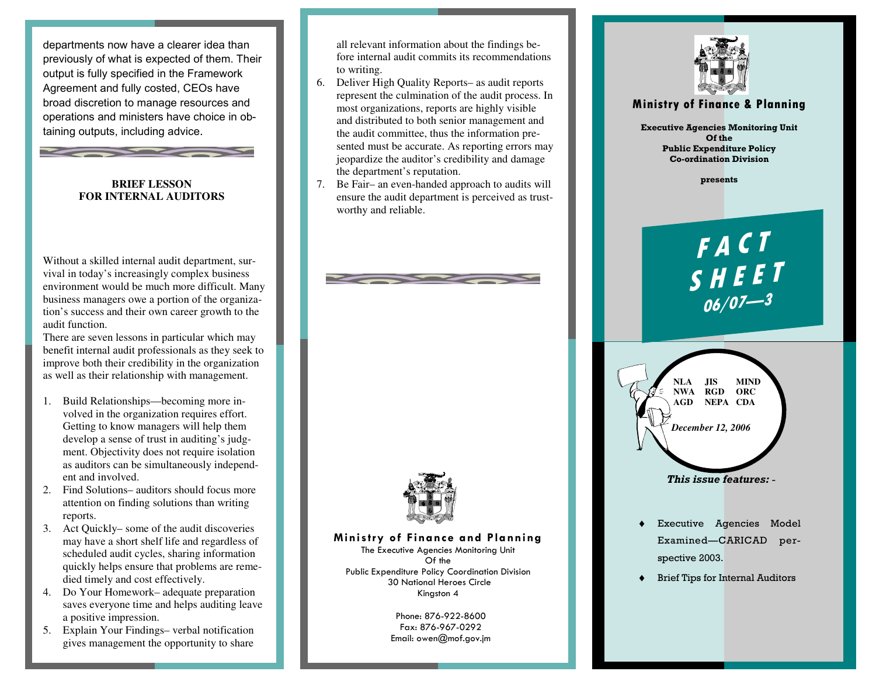departments now have a clearer idea than previously of what is expected of them. Their output is fully specified in the Framework Agreement and fully costed, CEOs have broad discretion to manage resources and operations and ministers have choice in obtaining outputs, including advice.



## **FOR INTERNAL AUDITORS**

**Second Contract Contract Contract Contract Contract Contract Contract Contract Contract Contract Contract Contract Contract Contract Contract Contract Contract Contract Contract Contract Contract Contract Contract Contrac** 

Without a skilled internal audit department, survival in today's increasingly complex business environment would be much more difficult. Many business managers owe a portion of the organization's success and their own career growth to the audit function.

 There are seven lessons in particular which may benefit internal audit professionals as they seek to improve both their credibility in the organization as well as their relationship with management.

- 1. Build Relationships—becoming more involved in the organization requires effort. Getting to know managers will help them develop a sense of trust in auditing's judgment. Objectivity does not require isolation as auditors can be simultaneously independent and involved.
- 2. Find Solutions– auditors should focus more attention on finding solutions than writing reports.
- 3. Act Quickly– some of the audit discoveries may have a short shelf life and regardless of scheduled audit cycles, sharing information quickly helps ensure that problems are remedied timely and cost effectively.
- 4. Do Your Homework– adequate preparation saves everyone time and helps auditing leave a positive impression.
- 5. Explain Your Findings– verbal notification gives management the opportunity to share

all relevant information about the findings before internal audit commits its recommendations to writing.

- 6. Deliver High Quality Reports– as audit reports represent the culmination of the audit process. In most organizations, reports are highly visible and distributed to both senior management and the audit committee, thus the information presented must be accurate. As reporting errors may jeopardize the auditor's credibility and damage the department's reputation.
- 7. Be Fair– an even-handed approach to audits will ensure the audit department is perceived as trustworthy and reliable.



## Ministry of Finance and Planning

The Executive Agencies Monitoring Unit Of the Public Expenditure Policy Coordination Division 30 National Heroes Circle Kingston 4

> Phone: 876-922-8600 Fax: 876-967-0292 Email: owen@mof.gov.jm



## Ministry of Finance & Planning

Executive Agencies Monitoring Unit Of the Public Expenditure Policy Co-ordination Division

presents

F <sup>A</sup> <sup>C</sup> <sup>T</sup>  $S$  H E E T<br>06/07—3



This issue features: -

- Executive Agencies Model Examined—CARICAD perspective 2003.
- **Brief Tips for Internal Auditors**